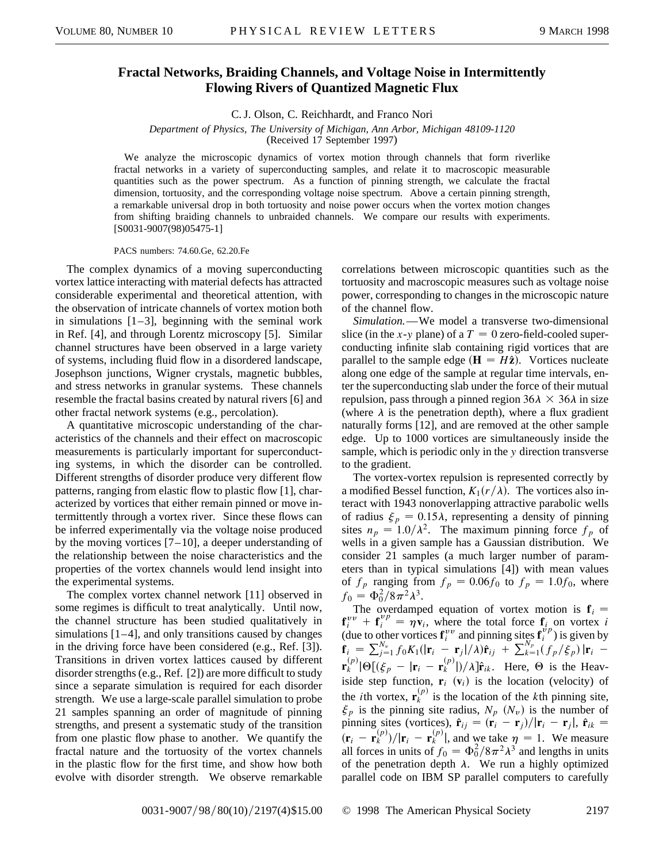## **Fractal Networks, Braiding Channels, and Voltage Noise in Intermittently Flowing Rivers of Quantized Magnetic Flux**

C. J. Olson, C. Reichhardt, and Franco Nori

*Department of Physics, The University of Michigan, Ann Arbor, Michigan 48109-1120* (Received 17 September 1997)

We analyze the microscopic dynamics of vortex motion through channels that form riverlike fractal networks in a variety of superconducting samples, and relate it to macroscopic measurable quantities such as the power spectrum. As a function of pinning strength, we calculate the fractal dimension, tortuosity, and the corresponding voltage noise spectrum. Above a certain pinning strength, a remarkable universal drop in both tortuosity and noise power occurs when the vortex motion changes from shifting braiding channels to unbraided channels. We compare our results with experiments. [S0031-9007(98)05475-1]

PACS numbers: 74.60.Ge, 62.20.Fe

The complex dynamics of a moving superconducting vortex lattice interacting with material defects has attracted considerable experimental and theoretical attention, with the observation of intricate channels of vortex motion both in simulations  $[1-3]$ , beginning with the seminal work in Ref. [4], and through Lorentz microscopy [5]. Similar channel structures have been observed in a large variety of systems, including fluid flow in a disordered landscape, Josephson junctions, Wigner crystals, magnetic bubbles, and stress networks in granular systems. These channels resemble the fractal basins created by natural rivers [6] and other fractal network systems (e.g., percolation).

A quantitative microscopic understanding of the characteristics of the channels and their effect on macroscopic measurements is particularly important for superconducting systems, in which the disorder can be controlled. Different strengths of disorder produce very different flow patterns, ranging from elastic flow to plastic flow [1], characterized by vortices that either remain pinned or move intermittently through a vortex river. Since these flows can be inferred experimentally via the voltage noise produced by the moving vortices  $[7-10]$ , a deeper understanding of the relationship between the noise characteristics and the properties of the vortex channels would lend insight into the experimental systems.

The complex vortex channel network [11] observed in some regimes is difficult to treat analytically. Until now, the channel structure has been studied qualitatively in simulations [1–4], and only transitions caused by changes in the driving force have been considered (e.g., Ref. [3]). Transitions in driven vortex lattices caused by different disorder strengths (e.g., Ref. [2]) are more difficult to study since a separate simulation is required for each disorder strength. We use a large-scale parallel simulation to probe 21 samples spanning an order of magnitude of pinning strengths, and present a systematic study of the transition from one plastic flow phase to another. We quantify the fractal nature and the tortuosity of the vortex channels in the plastic flow for the first time, and show how both evolve with disorder strength. We observe remarkable

correlations between microscopic quantities such as the tortuosity and macroscopic measures such as voltage noise power, corresponding to changes in the microscopic nature of the channel flow.

*Simulation.*—We model a transverse two-dimensional slice (in the *x*-*y* plane) of a  $T = 0$  zero-field-cooled superconducting infinite slab containing rigid vortices that are parallel to the sample edge  $(\mathbf{H} = H\hat{\mathbf{z}})$ . Vortices nucleate along one edge of the sample at regular time intervals, enter the superconducting slab under the force of their mutual repulsion, pass through a pinned region  $36\lambda \times 36\lambda$  in size (where  $\lambda$  is the penetration depth), where a flux gradient naturally forms [12], and are removed at the other sample edge. Up to 1000 vortices are simultaneously inside the sample, which is periodic only in the *y* direction transverse to the gradient.

The vortex-vortex repulsion is represented correctly by a modified Bessel function,  $K_1(r/\lambda)$ . The vortices also interact with 1943 nonoverlapping attractive parabolic wells of radius  $\xi_p = 0.15\lambda$ , representing a density of pinning sites  $n_p = 1.0/\lambda^2$ . The maximum pinning force  $f_p$  of wells in a given sample has a Gaussian distribution. We consider 21 samples (a much larger number of parameters than in typical simulations [4]) with mean values of  $f_p$  ranging from  $f_p = 0.06f_0$  to  $f_p = 1.0f_0$ , where  $f_0 = \Phi_0^2 / 8\pi^2 \lambda^3$ .

The overdamped equation of vortex motion is  $f_i =$  $f_i^{vv} + f_i^{vp} = \eta v_i$ , where the total force  $f_i$  on vortex *i* (due to other vortices  $\mathbf{f}_{i}^{vv}$  and pinning sites  $\mathbf{f}_{i}^{v}$ ) is given by  $\mathbf{f}_{i} = \sum_{j=1}^{N_{v}} f_{0} K_{1}(|\mathbf{r}_{i} - \mathbf{r}_{j}|/\lambda) \hat{\mathbf{r}}_{ij} + \sum_{k=1}^{N_{p}} (f_{p}/\xi_{p}) |\mathbf{r}_{i}$  $\mathbf{r}_k^{(p)}|\Theta[(\xi_p - |\mathbf{r}_i - \mathbf{r}_k^{(p)}|)/\lambda]\hat{\mathbf{r}}_{ik}$ . Here,  $\Theta$  is the Heaviside step function,  $\mathbf{r}_i$  ( $\mathbf{v}_i$ ) is the location (velocity) of the *i*th vortex,  $\mathbf{r}_k^{(p)}$  is the location of the *k*th pinning site,  $\xi_p$  is the pinning site radius,  $N_p(N_v)$  is the number of pinning sites (vortices),  $\hat{\mathbf{r}}_{ij} = (\mathbf{r}_i - \mathbf{r}_j)/|\mathbf{r}_i - \mathbf{r}_j|$ ,  $\hat{\mathbf{r}}_{ik} =$  $\left(\mathbf{r}_i - \mathbf{r}_k^{(p)}\right) / |\mathbf{r}_i - \mathbf{r}_k^{(p)}|$ , and we take  $\eta = 1$ . We measure all forces in units of  $f_0 = \Phi_0^2 / 8\pi^2 \lambda^3$  and lengths in units of the penetration depth  $\lambda$ . We run a highly optimized parallel code on IBM SP parallel computers to carefully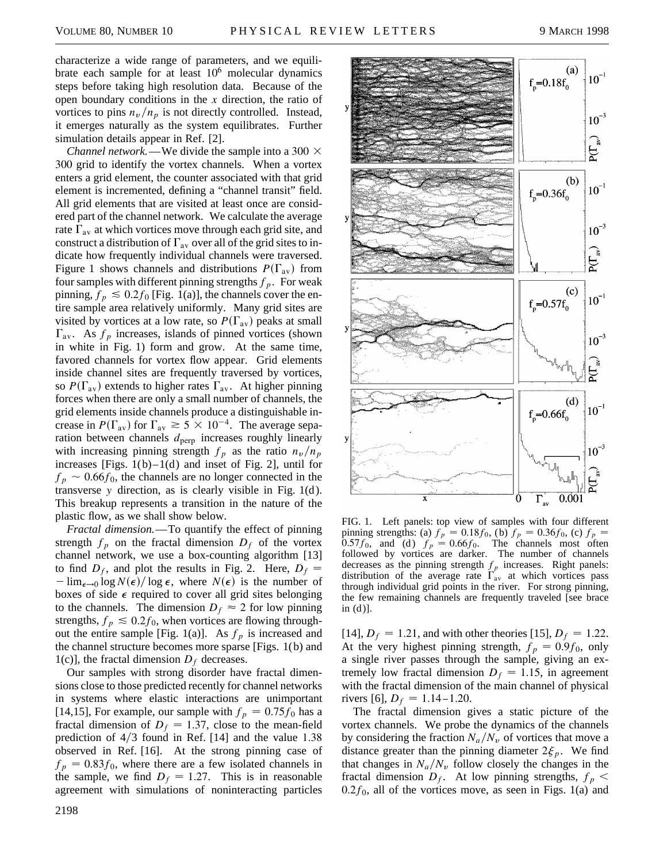characterize a wide range of parameters, and we equilibrate each sample for at least  $10<sup>6</sup>$  molecular dynamics steps before taking high resolution data. Because of the open boundary conditions in the *x* direction, the ratio of vortices to pins  $n_v/n_p$  is not directly controlled. Instead, it emerges naturally as the system equilibrates. Further simulation details appear in Ref. [2].

*Channel network.*—We divide the sample into a 300  $\times$ 300 grid to identify the vortex channels. When a vortex enters a grid element, the counter associated with that grid element is incremented, defining a "channel transit" field. All grid elements that are visited at least once are considered part of the channel network. We calculate the average rate  $\Gamma_{av}$  at which vortices move through each grid site, and construct a distribution of  $\Gamma_{av}$  over all of the grid sites to indicate how frequently individual channels were traversed. Figure 1 shows channels and distributions  $P(\Gamma_{av})$  from four samples with different pinning strengths  $f_p$ . For weak pinning,  $f_p \le 0.2 f_0$  [Fig. 1(a)], the channels cover the entire sample area relatively uniformly. Many grid sites are visited by vortices at a low rate, so  $P(\Gamma_{av})$  peaks at small  $\Gamma_{\text{av}}$ . As  $f_p$  increases, islands of pinned vortices (shown in white in Fig. 1) form and grow. At the same time, favored channels for vortex flow appear. Grid elements inside channel sites are frequently traversed by vortices, so  $P(\Gamma_{av})$  extends to higher rates  $\Gamma_{av}$ . At higher pinning forces when there are only a small number of channels, the grid elements inside channels produce a distinguishable increase in  $P(\Gamma_{av})$  for  $\Gamma_{av} \ge 5 \times 10^{-4}$ . The average separation between channels  $d_{\text{perp}}$  increases roughly linearly with increasing pinning strength  $f_p$  as the ratio  $n_v/n_p$ increases [Figs.  $1(b)-1(d)$  and inset of Fig. 2], until for  $f_p \sim 0.66 f_0$ , the channels are no longer connected in the transverse *y* direction, as is clearly visible in Fig. 1(d ). This breakup represents a transition in the nature of the plastic flow, as we shall show below.

*Fractal dimension.*—To quantify the effect of pinning strength  $f_p$  on the fractal dimension  $D_f$  of the vortex channel network, we use a box-counting algorithm [13] to find  $D_f$ , and plot the results in Fig. 2. Here,  $D_f$  =  $-\lim_{\epsilon \to 0} \log N(\epsilon)/\log \epsilon$ , where  $N(\epsilon)$  is the number of boxes of side  $\epsilon$  required to cover all grid sites belonging to the channels. The dimension  $D_f \approx 2$  for low pinning strengths,  $f_p \leq 0.2f_0$ , when vortices are flowing throughout the entire sample [Fig. 1(a)]. As  $f_p$  is increased and the channel structure becomes more sparse [Figs. 1(b) and 1(c)], the fractal dimension  $D_f$  decreases.

Our samples with strong disorder have fractal dimensions close to those predicted recently for channel networks in systems where elastic interactions are unimportant [14,15], For example, our sample with  $f_p = 0.75f_0$  has a fractal dimension of  $D_f = 1.37$ , close to the mean-field prediction of  $4/3$  found in Ref. [14] and the value 1.38 observed in Ref. [16]. At the strong pinning case of  $f_p = 0.83 f_0$ , where there are a few isolated channels in the sample, we find  $D_f = 1.27$ . This is in reasonable agreement with simulations of noninteracting particles



FIG. 1. Left panels: top view of samples with four different pinning strengths: (a)  $f_p = 0.18f_0$ , (b)  $f_p = 0.36f_0$ , (c)  $f_p =$ 0.57 $f_0$ , and (d)  $f_p = 0.66 f_0$ . The channels most often followed by vortices are darker. The number of channels decreases as the pinning strength  $f_p$  increases. Right panels: distribution of the average rate  $\Gamma_{av}$  at which vortices pass through individual grid points in the river. For strong pinning, the few remaining channels are frequently traveled [see brace  $in (d)$ ].

[14],  $D_f = 1.21$ , and with other theories [15],  $D_f = 1.22$ . At the very highest pinning strength,  $f_p = 0.9f_0$ , only a single river passes through the sample, giving an extremely low fractal dimension  $D_f = 1.15$ , in agreement with the fractal dimension of the main channel of physical rivers [6],  $D_f = 1.14 - 1.20$ .

The fractal dimension gives a static picture of the vortex channels. We probe the dynamics of the channels by considering the fraction  $N_a/N_v$  of vortices that move a distance greater than the pinning diameter  $2\xi_p$ . We find that changes in  $N_a/N_v$  follow closely the changes in the fractal dimension  $D_f$ . At low pinning strengths,  $f_p$  <  $0.2f_0$ , all of the vortices move, as seen in Figs. 1(a) and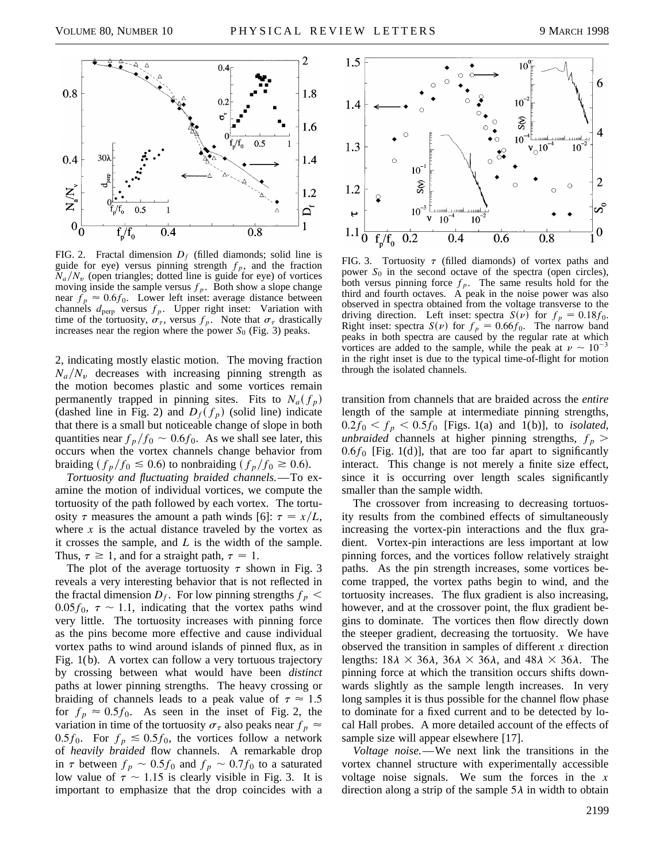

FIG. 2. Fractal dimension  $D_f$  (filled diamonds; solid line is guide for eye) versus pinning strength  $f_p$ , and the fraction  $N_a/N_v$  (open triangles; dotted line is guide for eye) of vortices moving inside the sample versus  $f_p$ . Both show a slope change near  $f_p \approx 0.6f_0$ . Lower left inset: average distance between channels  $d_{\text{perp}}$  versus  $f_p$ . Upper right inset: Variation with time of the tortuosity,  $\sigma_{\tau}$ , versus  $f_p$ . Note that  $\sigma_{\tau}$  drastically increases near the region where the power  $S_0$  (Fig. 3) peaks.

2, indicating mostly elastic motion. The moving fraction  $N_a/N_v$  decreases with increasing pinning strength as the motion becomes plastic and some vortices remain permanently trapped in pinning sites. Fits to  $N_a(f_p)$ (dashed line in Fig. 2) and  $D_f(f_p)$  (solid line) indicate that there is a small but noticeable change of slope in both quantities near  $f_p/f_0 \sim 0.6f_0$ . As we shall see later, this occurs when the vortex channels change behavior from braiding  $(f_p/f_0 \le 0.6)$  to nonbraiding  $(f_p/f_0 \ge 0.6)$ .

*Tortuosity and fluctuating braided channels.*—To examine the motion of individual vortices, we compute the tortuosity of the path followed by each vortex. The tortuosity  $\tau$  measures the amount a path winds [6]:  $\tau = x/L$ , where  $x$  is the actual distance traveled by the vortex as it crosses the sample, and *L* is the width of the sample. Thus,  $\tau \ge 1$ , and for a straight path,  $\tau = 1$ .

The plot of the average tortuosity  $\tau$  shown in Fig. 3 reveals a very interesting behavior that is not reflected in the fractal dimension  $D_f$ . For low pinning strengths  $f_p$  <  $0.05f_0$ ,  $\tau \sim 1.1$ , indicating that the vortex paths wind very little. The tortuosity increases with pinning force as the pins become more effective and cause individual vortex paths to wind around islands of pinned flux, as in Fig. 1(b). A vortex can follow a very tortuous trajectory by crossing between what would have been *distinct* paths at lower pinning strengths. The heavy crossing or braiding of channels leads to a peak value of  $\tau \approx 1.5$ for  $f_p \approx 0.5f_0$ . As seen in the inset of Fig. 2, the variation in time of the tortuosity  $\sigma_{\tau}$  also peaks near  $f_p \approx$ 0.5 $f_0$ . For  $f_p \le 0.5f_0$ , the vortices follow a network of *heavily braided* flow channels. A remarkable drop in  $\tau$  between  $f_p \sim 0.5f_0$  and  $f_p \sim 0.7f_0$  to a saturated low value of  $\tau \sim 1.15$  is clearly visible in Fig. 3. It is important to emphasize that the drop coincides with a



FIG. 3. Tortuosity  $\tau$  (filled diamonds) of vortex paths and power *S*<sup>0</sup> in the second octave of the spectra (open circles), both versus pinning force  $f_p$ . The same results hold for the third and fourth octaves. A peak in the noise power was also observed in spectra obtained from the voltage transverse to the driving direction. Left inset: spectra  $S(\nu)$  for  $f_p = 0.18 f_0$ . Right inset: spectra  $S(\nu)$  for  $f_p = 0.66 f_0$ . The narrow band peaks in both spectra are caused by the regular rate at which vortices are added to the sample, while the peak at  $\nu \sim 10^{-3}$ in the right inset is due to the typical time-of-flight for motion through the isolated channels.

transition from channels that are braided across the *entire* length of the sample at intermediate pinning strengths,  $0.2f_0 < f_p < 0.5f_0$  [Figs. 1(a) and 1(b)], to *isolated*, *unbraided* channels at higher pinning strengths,  $f_p$  >  $0.6f_0$  [Fig. 1(d)], that are too far apart to significantly interact. This change is not merely a finite size effect, since it is occurring over length scales significantly smaller than the sample width.

The crossover from increasing to decreasing tortuosity results from the combined effects of simultaneously increasing the vortex-pin interactions and the flux gradient. Vortex-pin interactions are less important at low pinning forces, and the vortices follow relatively straight paths. As the pin strength increases, some vortices become trapped, the vortex paths begin to wind, and the tortuosity increases. The flux gradient is also increasing, however, and at the crossover point, the flux gradient begins to dominate. The vortices then flow directly down the steeper gradient, decreasing the tortuosity. We have observed the transition in samples of different *x* direction lengths:  $18\lambda \times 36\lambda$ ,  $36\lambda \times 36\lambda$ , and  $48\lambda \times 36\lambda$ . The pinning force at which the transition occurs shifts downwards slightly as the sample length increases. In very long samples it is thus possible for the channel flow phase to dominate for a fixed current and to be detected by local Hall probes. A more detailed account of the effects of sample size will appear elsewhere [17].

*Voltage noise.*—We next link the transitions in the vortex channel structure with experimentally accessible voltage noise signals. We sum the forces in the *x* direction along a strip of the sample  $5\lambda$  in width to obtain